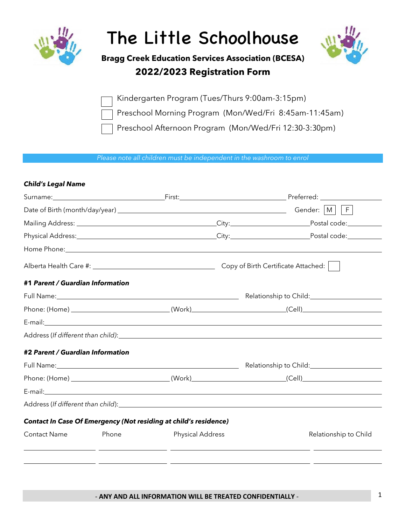

# The Little Schoolhouse



## **Bragg Creek Education Services Association (BCESA) 2022/2023 Registration Form**

Kindergarten Program (Tues/Thurs 9:00am-3:15pm)

Preschool Morning Program (Mon/Wed/Fri 8:45am-11:45am)

Preschool Afternoon Program (Mon/Wed/Fri 12:30-3:30pm)

*Please note all children must be independent in the washroom to enrol*

#### *Child's Legal Name*

|                                                                                                                |       |                                                                         |                                                                                                                 | Physical Address: Notified and City: Notified Address: Note: Note: Note: Note: Note: Note: Note: Note: Note: N |
|----------------------------------------------------------------------------------------------------------------|-------|-------------------------------------------------------------------------|-----------------------------------------------------------------------------------------------------------------|----------------------------------------------------------------------------------------------------------------|
|                                                                                                                |       |                                                                         |                                                                                                                 |                                                                                                                |
|                                                                                                                |       |                                                                         |                                                                                                                 |                                                                                                                |
| #1 Parent / Guardian Information                                                                               |       |                                                                         |                                                                                                                 |                                                                                                                |
|                                                                                                                |       |                                                                         | Full Name: 1992 Manual Manual Manual Manual Manual Manual Manual Manual Manual Manual Manual Manual Manual Manu |                                                                                                                |
|                                                                                                                |       |                                                                         | Phone: (Home) _________________________________(Work) __________________________(Cell) _______________________  |                                                                                                                |
|                                                                                                                |       |                                                                         |                                                                                                                 |                                                                                                                |
|                                                                                                                |       |                                                                         |                                                                                                                 |                                                                                                                |
| #2 Parent / Guardian Information                                                                               |       |                                                                         |                                                                                                                 |                                                                                                                |
|                                                                                                                |       |                                                                         |                                                                                                                 |                                                                                                                |
| Phone: (Home) _________________________________(Work)___________________________(Cell)________________________ |       |                                                                         |                                                                                                                 |                                                                                                                |
|                                                                                                                |       |                                                                         |                                                                                                                 |                                                                                                                |
|                                                                                                                |       |                                                                         |                                                                                                                 |                                                                                                                |
|                                                                                                                |       | <b>Contact In Case Of Emergency (Not residing at child's residence)</b> |                                                                                                                 |                                                                                                                |
| <b>Contact Name</b>                                                                                            | Phone | <b>Physical Address</b>                                                 |                                                                                                                 | Relationship to Child                                                                                          |
|                                                                                                                |       |                                                                         |                                                                                                                 | <u> 1980 - Johann Barnett, mars et al. (b. 1980)</u>                                                           |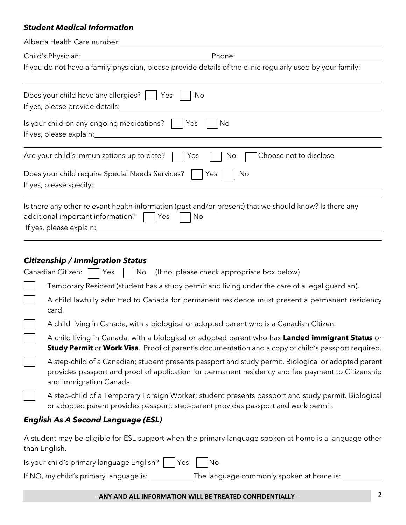#### *Student Medical Information*

| Alberta Health Care number:                                                                                                                                                                                                          |
|--------------------------------------------------------------------------------------------------------------------------------------------------------------------------------------------------------------------------------------|
| Phone:                                                                                                                                                                                                                               |
| If you do not have a family physician, please provide details of the clinic regularly used by your family:                                                                                                                           |
| Does your child have any allergies?  <br>No<br>  Yes<br>If yes, please provide details:                                                                                                                                              |
| Is your child on any ongoing medications?  <br>No<br>Yes                                                                                                                                                                             |
| Are your child's immunizations up to date?<br>Choose not to disclose<br>Yes<br>No                                                                                                                                                    |
| Does your child require Special Needs Services?<br>Yes<br>No                                                                                                                                                                         |
| Is there any other relevant health information (past and/or present) that we should know? Is there any<br>additional important information?<br>No<br> Yes                                                                            |
| <b>Citizenship / Immigration Status</b><br>Canadian Citizen:<br>Yes                                                                                                                                                                  |
| (If no, please check appropriate box below)<br>No                                                                                                                                                                                    |
| Temporary Resident (student has a study permit and living under the care of a legal guardian).<br>A child lawfully admitted to Canada for permanent residence must present a permanent residency<br>card.                            |
| A child living in Canada, with a biological or adopted parent who is a Canadian Citizen.                                                                                                                                             |
| A child living in Canada, with a biological or adopted parent who has Landed immigrant Status or<br><b>Study Permit</b> or <b>Work Visa</b> . Proof of parent's documentation and a copy of child's passport required.               |
| A step-child of a Canadian; student presents passport and study permit. Biological or adopted parent<br>provides passport and proof of application for permanent residency and fee payment to Citizenship<br>and Immigration Canada. |
| A step-child of a Temporary Foreign Worker; student presents passport and study permit. Biological<br>or adopted parent provides passport; step-parent provides passport and work permit.                                            |
| <b>English As A Second Language (ESL)</b>                                                                                                                                                                                            |
| A student may be eligible for ESL support when the primary language spoken at home is a language other                                                                                                                               |

A studible for ESL support when the primary language spoken spoken is a language spok than English.

Is your child's primary language English?  $\Box$  Yes  $\Box$  No

If NO, my child's primary language is: \_\_\_\_\_\_\_\_\_\_\_The language commonly spoken at home is: \_\_\_\_\_\_\_\_\_\_\_\_\_\_\_\_\_\_

### - **ANY AND ALL INFORMATION WILL BE TREATED CONFIDENTIALLY** - 2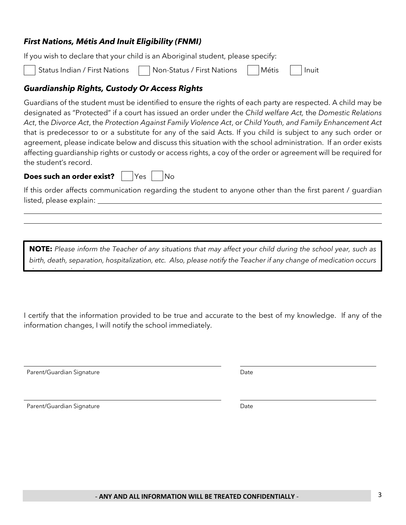## Status Indian / First Nations | Non-Status / First Nations | Métis | Inuit

#### *Guardianship Rights, Custody Or Access Rights*

*First Nations, Métis And Inuit Eligibility (FNMI)* 

Guardians of the student must be identified to ensure the rights of each party are respected. A child may be designated as "Protected" if a court has issued an order under the *Child welfare Act,* the *Domestic Relations Act*, the *Divorce Act*, the *Protection Against Family Violence Act*, or *Child Youth, and Family Enhancement Act*  that is predecessor to or a substitute for any of the said Acts. If you child is subject to any such order or agreement, please indicate below and discuss this situation with the school administration. If an order exists affecting guardianship rights or custody or access rights, a coy of the order or agreement will be required for the student's record.

#### **Does such an order exist?** | Yes | No

*during the school year.*

If you wish to declare that your child is an Aboriginal student, please specify:

If this order affects communication regarding the student to anyone other than the first parent / guardian listed, please explain:

**NOTE:** *Please inform the Teacher of any situations that may affect your child during the school year, such as birth, death, separation, hospitalization, etc. Also, please notify the Teacher if any change of medication occurs* 

I certify that the information provided to be true and accurate to the best of my knowledge. If any of the information changes, I will notify the school immediately.

Parent/Guardian Signature Date Date

Parent/Guardian Signature **Date** Date Date Date Date Date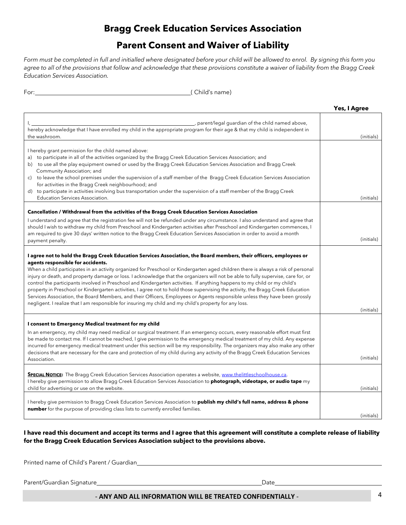## **Bragg Creek Education Services Association**

## **Parent Consent and Waiver of Liability**

*Form must be completed in full and initialled where designated before your child will be allowed to enrol. By signing this form you agree to all of the provisions that follow and acknowledge that these provisions constitute a waiver of liability from the Bragg Creek Education Services Association.*

For: ( Child's name)

|                                                                                                                                                                                                                                                                                                                                                                                                                                                                                                                                                                                                                                                                                                                                                                                                                                                                                                                                            | Yes, I Agree |
|--------------------------------------------------------------------------------------------------------------------------------------------------------------------------------------------------------------------------------------------------------------------------------------------------------------------------------------------------------------------------------------------------------------------------------------------------------------------------------------------------------------------------------------------------------------------------------------------------------------------------------------------------------------------------------------------------------------------------------------------------------------------------------------------------------------------------------------------------------------------------------------------------------------------------------------------|--------------|
| _, parent/legal guardian of the child named above,<br>hereby acknowledge that I have enrolled my child in the appropriate program for their age & that my child is independent in<br>the washroom.                                                                                                                                                                                                                                                                                                                                                                                                                                                                                                                                                                                                                                                                                                                                         | (initials)   |
| I hereby grant permission for the child named above:<br>a) to participate in all of the activities organized by the Bragg Creek Education Services Association; and<br>b) to use all the play equipment owned or used by the Bragg Creek Education Services Association and Bragg Creek<br>Community Association; and<br>c) to leave the school premises under the supervision of a staff member of the Bragg Creek Education Services Association<br>for activities in the Bragg Creek neighbourhood; and<br>d) to participate in activities involving bus transportation under the supervision of a staff member of the Bragg Creek<br>Education Services Association.                                                                                                                                                                                                                                                                   | (initials)   |
| Cancellation / Withdrawal from the activities of the Bragg Creek Education Services Association<br>I understand and agree that the registration fee will not be refunded under any circumstance. I also understand and agree that<br>should I wish to withdraw my child from Preschool and Kindergarten activities after Preschool and Kindergarten commences, I<br>am required to give 30 days' written notice to the Bragg Creek Education Services Association in order to avoid a month<br>payment penalty.                                                                                                                                                                                                                                                                                                                                                                                                                            | (initials)   |
| I agree not to hold the Bragg Creek Education Services Association, the Board members, their officers, employees or<br>agents responsible for accidents.<br>When a child participates in an activity organized for Preschool or Kindergarten aged children there is always a risk of personal<br>injury or death, and property damage or loss. I acknowledge that the organizers will not be able to fully supervise, care for, or<br>control the participants involved in Preschool and Kindergarten activities. If anything happens to my child or my child's<br>property in Preschool or Kindergarten activities, I agree not to hold those supervising the activity, the Bragg Creek Education<br>Services Association, the Board Members, and their Officers, Employees or Agents responsible unless they have been grossly<br>negligent. I realize that I am responsible for insuring my child and my child's property for any loss. | (initials)   |
| I consent to Emergency Medical treatment for my child<br>In an emergency, my child may need medical or surgical treatment. If an emergency occurs, every reasonable effort must first<br>be made to contact me. If I cannot be reached, I give permission to the emergency medical treatment of my child. Any expense<br>incurred for emergency medical treatment under this section will be my responsibility. The organizers may also make any other<br>decisions that are necessary for the care and protection of my child during any activity of the Bragg Creek Education Services<br>Association.                                                                                                                                                                                                                                                                                                                                   | (initials)   |
| <b>SPECIAL NOTICE:</b> The Bragg Creek Education Services Association operates a website, www.thelittleschoolhouse.ca.<br>I hereby give permission to allow Bragg Creek Education Services Association to photograph, videotape, or audio tape my<br>child for advertising or use on the website.                                                                                                                                                                                                                                                                                                                                                                                                                                                                                                                                                                                                                                          | (initials)   |
| Thereby give permission to Bragg Creek Education Services Association to <b>publish my child's full name, address &amp; phone</b><br>number for the purpose of providing class lists to currently enrolled families.                                                                                                                                                                                                                                                                                                                                                                                                                                                                                                                                                                                                                                                                                                                       | (initials)   |

**I have read this document and accept its terms and I agree that this agreement will constitute a complete release of liability for the Bragg Creek Education Services Association subject to the provisions above.**

Printed name of Child's Parent / Guardian

Parent/Guardian Signature **Date** Date **Date** 

#### - **ANY AND ALL INFORMATION WILL BE TREATED CONFIDENTIALLY** - 4